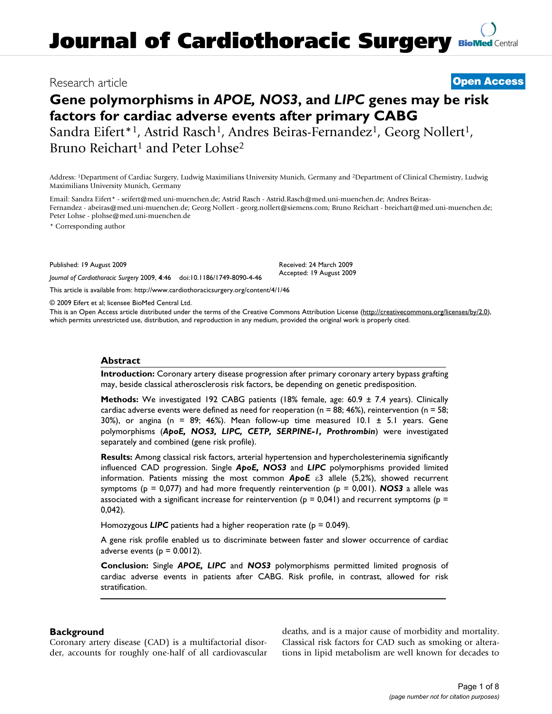# **Journal of Cardiothoracic Surgery [BioMed](http://www.biomedcentral.com/) Central**

# Research article **[Open Access](http://www.biomedcentral.com/info/about/charter/)**

# **Gene polymorphisms in** *APOE, NOS3***, and** *LIPC* **genes may be risk factors for cardiac adverse events after primary CABG**

Sandra Eifert<sup>\*1</sup>, Astrid Rasch<sup>1</sup>, Andres Beiras-Fernandez<sup>1</sup>, Georg Nollert<sup>1</sup>, Bruno Reichart<sup>1</sup> and Peter Lohse<sup>2</sup>

Address: 1Department of Cardiac Surgery, Ludwig Maximilians University Munich, Germany and 2Department of Clinical Chemistry, Ludwig Maximilians University Munich, Germany

Email: Sandra Eifert\* - seifert@med.uni-muenchen.de; Astrid Rasch - Astrid.Rasch@med.uni-muenchen.de; Andres Beiras-Fernandez - abeiras@med.uni-muenchen.de; Georg Nollert - georg.nollert@siemens.com; Bruno Reichart - breichart@med.uni-muenchen.de; Peter Lohse - plohse@med.uni-muenchen.de

\* Corresponding author

Published: 19 August 2009

*Journal of Cardiothoracic Surgery* 2009, **4**:46 doi:10.1186/1749-8090-4-46

Received: 24 March 2009 Accepted: 19 August 2009

[This article is available from: http://www.cardiothoracicsurgery.org/content/4/1/46](http://www.cardiothoracicsurgery.org/content/4/1/46)

© 2009 Eifert et al; licensee BioMed Central Ltd.

This is an Open Access article distributed under the terms of the Creative Commons Attribution License [\(http://creativecommons.org/licenses/by/2.0\)](http://creativecommons.org/licenses/by/2.0), which permits unrestricted use, distribution, and reproduction in any medium, provided the original work is properly cited.

#### **Abstract**

**Introduction:** Coronary artery disease progression after primary coronary artery bypass grafting may, beside classical atherosclerosis risk factors, be depending on genetic predisposition.

**Methods:** We investigated 192 CABG patients (18% female, age: 60.9 ± 7.4 years). Clinically cardiac adverse events were defined as need for reoperation ( $n = 88$ ; 46%), reintervention ( $n = 58$ ; 30%), or angina (n = 89; 46%). Mean follow-up time measured  $10.1 \pm 5.1$  years. Gene polymorphisms (*ApoE, NOS3, LIPC, CETP, SERPINE-1, Prothrombin*) were investigated separately and combined (gene risk profile).

**Results:** Among classical risk factors, arterial hypertension and hypercholesterinemia significantly influenced CAD progression. Single *ApoE, NOS3* and *LIPC* polymorphisms provided limited information. Patients missing the most common *ApoE* ε3 allele (5,2%), showed recurrent symptoms (p = 0,077) and had more frequently reintervention (p = 0,001). *NOS3* a allele was associated with a significant increase for reintervention ( $p = 0.041$ ) and recurrent symptoms ( $p =$ 0,042).

Homozygous *LIPC* patients had a higher reoperation rate (p = 0.049).

A gene risk profile enabled us to discriminate between faster and slower occurrence of cardiac adverse events ( $p = 0.0012$ ).

**Conclusion:** Single *APOE, LIPC* and *NOS3* polymorphisms permitted limited prognosis of cardiac adverse events in patients after CABG. Risk profile, in contrast, allowed for risk stratification.

#### **Background**

Coronary artery disease (CAD) is a multifactorial disorder, accounts for roughly one-half of all cardiovascular deaths, and is a major cause of morbidity and mortality. Classical risk factors for CAD such as smoking or alterations in lipid metabolism are well known for decades to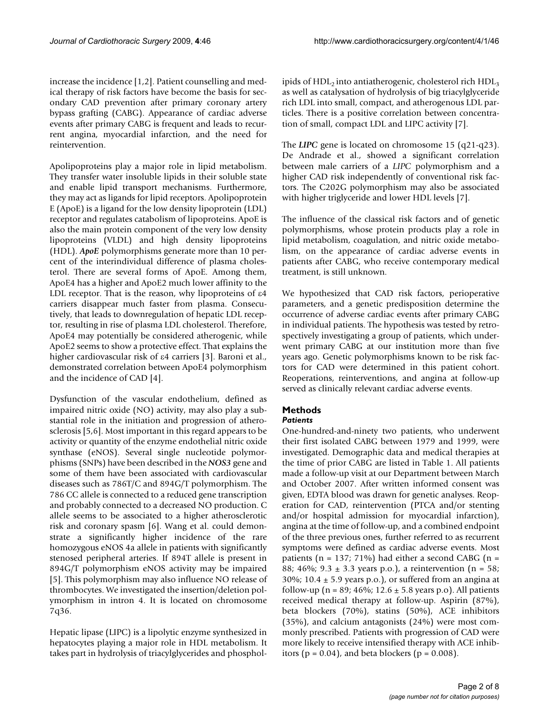increase the incidence [1,2]. Patient counselling and medical therapy of risk factors have become the basis for secondary CAD prevention after primary coronary artery bypass grafting (CABG). Appearance of cardiac adverse events after primary CABG is frequent and leads to recurrent angina, myocardial infarction, and the need for reintervention.

Apolipoproteins play a major role in lipid metabolism. They transfer water insoluble lipids in their soluble state and enable lipid transport mechanisms. Furthermore, they may act as ligands for lipid receptors. Apolipoprotein E (ApoE) is a ligand for the low density lipoprotein (LDL) receptor and regulates catabolism of lipoproteins. ApoE is also the main protein component of the very low density lipoproteins (VLDL) and high density lipoproteins (HDL). *ApoE* polymorphisms generate more than 10 percent of the interindividual difference of plasma cholesterol. There are several forms of ApoE. Among them, ApoE4 has a higher and ApoE2 much lower affinity to the LDL receptor. That is the reason, why lipoproteins of ε4 carriers disappear much faster from plasma. Consecutively, that leads to downregulation of hepatic LDL receptor, resulting in rise of plasma LDL cholesterol. Therefore, ApoE4 may potentially be considered atherogenic, while ApoE2 seems to show a protective effect. That explains the higher cardiovascular risk of ε4 carriers [3]. Baroni et al., demonstrated correlation between ApoE4 polymorphism and the incidence of CAD [4].

Dysfunction of the vascular endothelium, defined as impaired nitric oxide (NO) activity, may also play a substantial role in the initiation and progression of atherosclerosis [5,6]. Most important in this regard appears to be activity or quantity of the enzyme endothelial nitric oxide synthase (eNOS). Several single nucleotide polymorphisms (SNPs) have been described in the *NOS3* gene and some of them have been associated with cardiovascular diseases such as 786T/C and 894G/T polymorphism. The 786 CC allele is connected to a reduced gene transcription and probably connected to a decreased NO production. C allele seems to be associated to a higher atherosclerotic risk and coronary spasm [6]. Wang et al. could demonstrate a significantly higher incidence of the rare homozygous eNOS 4a allele in patients with significantly stenosed peripheral arteries. If 894T allele is present in 894G/T polymorphism eNOS activity may be impaired [5]. This polymorphism may also influence NO release of thrombocytes. We investigated the insertion/deletion polymorphism in intron 4. It is located on chromosome 7q36.

Hepatic lipase (LIPC) is a lipolytic enzyme synthesized in hepatocytes playing a major role in HDL metabolism. It takes part in hydrolysis of triacylglycerides and phospholipids of  $HDL<sub>2</sub>$  into antiatherogenic, cholesterol rich  $HDL<sub>3</sub>$ as well as catalysation of hydrolysis of big triacylglyceride rich LDL into small, compact, and atherogenous LDL particles. There is a positive correlation between concentration of small, compact LDL and LIPC activity [7].

The *LIPC* gene is located on chromosome 15 (q21-q23). De Andrade et al., showed a significant correlation between male carriers of a *LIPC* polymorphism and a higher CAD risk independently of conventional risk factors. The C202G polymorphism may also be associated with higher triglyceride and lower HDL levels [7].

The influence of the classical risk factors and of genetic polymorphisms, whose protein products play a role in lipid metabolism, coagulation, and nitric oxide metabolism, on the appearance of cardiac adverse events in patients after CABG, who receive contemporary medical treatment, is still unknown.

We hypothesized that CAD risk factors, perioperative parameters, and a genetic predisposition determine the occurrence of adverse cardiac events after primary CABG in individual patients. The hypothesis was tested by retrospectively investigating a group of patients, which underwent primary CABG at our institution more than five years ago. Genetic polymorphisms known to be risk factors for CAD were determined in this patient cohort. Reoperations, reinterventions, and angina at follow-up served as clinically relevant cardiac adverse events.

# **Methods**

#### *Patients*

One-hundred-and-ninety two patients, who underwent their first isolated CABG between 1979 and 1999, were investigated. Demographic data and medical therapies at the time of prior CABG are listed in Table 1. All patients made a follow-up visit at our Department between March and October 2007. After written informed consent was given, EDTA blood was drawn for genetic analyses. Reoperation for CAD, reintervention (PTCA and/or stenting and/or hospital admission for myocardial infarction), angina at the time of follow-up, and a combined endpoint of the three previous ones, further referred to as recurrent symptoms were defined as cardiac adverse events. Most patients ( $n = 137$ ; 71%) had either a second CABG ( $n =$ 88; 46%; 9.3  $\pm$  3.3 years p.o.), a reintervention (n = 58; 30%; 10.4  $\pm$  5.9 years p.o.), or suffered from an angina at follow-up (n = 89; 46%; 12.6  $\pm$  5.8 years p.o). All patients received medical therapy at follow-up. Aspirin (87%), beta blockers (70%), statins (50%), ACE inhibitors (35%), and calcium antagonists (24%) were most commonly prescribed. Patients with progression of CAD were more likely to receive intensified therapy with ACE inhibitors ( $p = 0.04$ ), and beta blockers ( $p = 0.008$ ).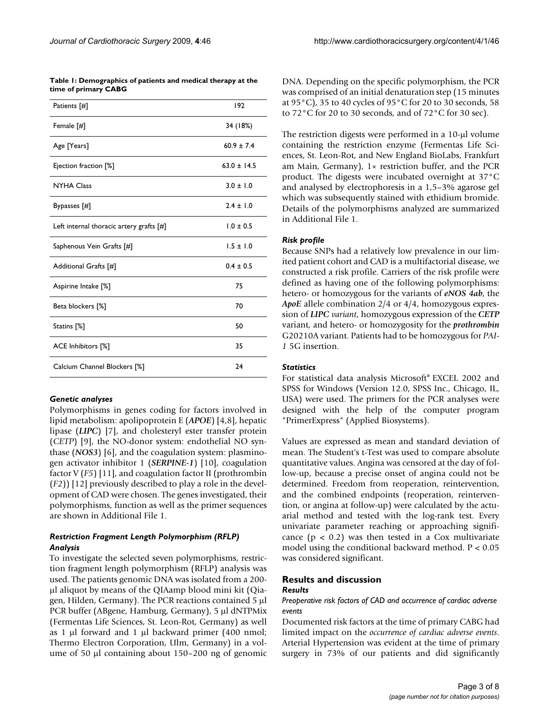| Patients [#]                                | 192             |
|---------------------------------------------|-----------------|
| Female [#]                                  | 34 (18%)        |
| Age [Years]                                 | $60.9 \pm 7.4$  |
| Ejection fraction [%]                       | $63.0 \pm 14.5$ |
| <b>NYHA Class</b>                           | $3.0 \pm 1.0$   |
| Bypasses $[#]$                              | $2.4 \pm 1.0$   |
| Left internal thoracic artery grafts $[\#]$ | $1.0 \pm 0.5$   |
| Saphenous Vein Grafts [#]                   | $1.5 \pm 1.0$   |
| Additional Grafts [#]                       | $0.4 \pm 0.5$   |
| Aspirine Intake [%]                         | 75              |
| Beta blockers [%]                           | 70              |
| Statins [%]                                 | 50              |
| ACE Inhibitors [%]                          | 35              |
| Calcium Channel Blockers [%]                | 24              |

**Table 1: Demographics of patients and medical therapy at the time of primary CABG**

#### *Genetic analyses*

Polymorphisms in genes coding for factors involved in lipid metabolism: apolipoprotein E (*APOE*) [4,8], hepatic lipase (*LIPC*) [7], and cholesteryl ester transfer protein (*CETP*) [9], the NO-donor system: endothelial NO synthase (*NOS3*) [6], and the coagulation system: plasminogen activator inhibitor 1 (*SERPINE-1*) [10], coagulation factor V (*F5*) [11], and coagulation factor II (prothrombin (*F2*)) [12] previously described to play a role in the development of CAD were chosen. The genes investigated, their polymorphisms, function as well as the primer sequences are shown in Additional File 1.

#### *Restriction Fragment Length Polymorphism (RFLP) Analysis*

To investigate the selected seven polymorphisms, restriction fragment length polymorphism (RFLP) analysis was used. The patients genomic DNA was isolated from a 200 μl aliquot by means of the QIAamp blood mini kit (Qiagen, Hilden, Germany). The PCR reactions contained 5 μl PCR buffer (ABgene, Hamburg, Germany), 5 μl dNTPMix (Fermentas Life Sciences, St. Leon-Rot, Germany) as well as 1 μl forward and 1 μl backward primer (400 nmol; Thermo Electron Corporation, Ulm, Germany) in a volume of 50 μl containing about 150–200 ng of genomic DNA. Depending on the specific polymorphism, the PCR was comprised of an initial denaturation step (15 minutes at 95°C), 35 to 40 cycles of 95°C for 20 to 30 seconds, 58 to 72°C for 20 to 30 seconds, and of 72°C for 30 sec).

The restriction digests were performed in a 10-μl volume containing the restriction enzyme (Fermentas Life Sciences, St. Leon-Rot, and New England BioLabs, Frankfurt am Main, Germany),  $1 \times$  restriction buffer, and the PCR product. The digests were incubated overnight at 37°C and analysed by electrophoresis in a 1,5–3% agarose gel which was subsequently stained with ethidium bromide. Details of the polymorphisms analyzed are summarized in Additional File 1.

#### *Risk profile*

Because SNPs had a relatively low prevalence in our limited patient cohort and CAD is a multifactorial disease, we constructed a risk profile. Carriers of the risk profile were defined as having one of the following polymorphisms: hetero- or homozygous for the variants of *eNOS 4ab*, the *ApoE* allele combination 2/4 or 4/4, homozygous expression of *LIPC variant*, homozygous expression of the *CETP* variant, and hetero- or homozygosity for the *prothrombin* G20210A variant. Patients had to be homozygous for *PAI-1* 5G insertion.

#### *Statistics*

For statistical data analysis Microsoft® EXCEL 2002 and SPSS for Windows (Version 12.0, SPSS Inc., Chicago, IL, USA) were used. The primers for the PCR analyses were designed with the help of the computer program "PrimerExpress" (Applied Biosystems).

Values are expressed as mean and standard deviation of mean. The Student's t-Test was used to compare absolute quantitative values. Angina was censored at the day of follow-up, because a precise onset of angina could not be determined. Freedom from reoperation, reintervention, and the combined endpoints (reoperation, reintervention, or angina at follow-up) were calculated by the actuarial method and tested with the log-rank test. Every univariate parameter reaching or approaching significance  $(p < 0.2)$  was then tested in a Cox multivariate model using the conditional backward method. P < 0.05 was considered significant.

#### **Results and discussion** *Results*

#### *Preoperative risk factors of CAD and occurrence of cardiac adverse events*

Documented risk factors at the time of primary CABG had limited impact on the *occurrence of cardiac adverse events*. Arterial Hypertension was evident at the time of primary surgery in 73% of our patients and did significantly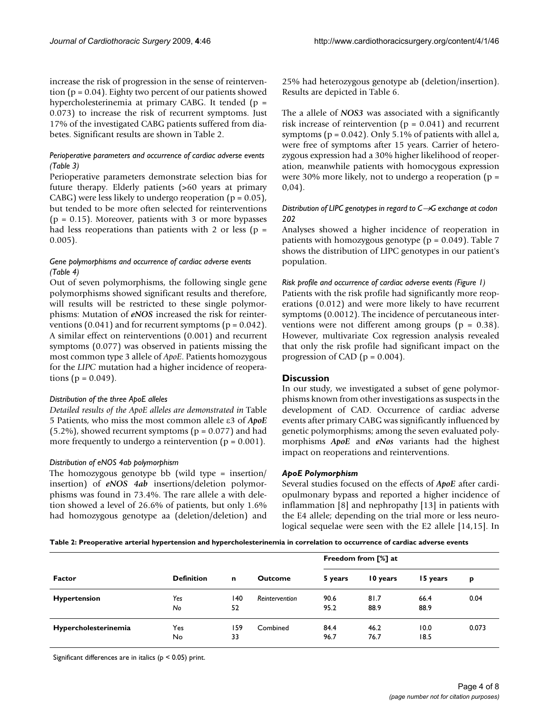increase the risk of progression in the sense of reintervention ( $p = 0.04$ ). Eighty two percent of our patients showed hypercholesterinemia at primary CABG. It tended (p = 0.073) to increase the risk of recurrent symptoms. Just 17% of the investigated CABG patients suffered from diabetes. Significant results are shown in Table 2.

#### *Perioperative parameters and occurrence of cardiac adverse events (Table 3)*

Perioperative parameters demonstrate selection bias for future therapy. Elderly patients (>60 years at primary CABG) were less likely to undergo reoperation ( $p = 0.05$ ), but tended to be more often selected for reinterventions  $(p = 0.15)$ . Moreover, patients with 3 or more bypasses had less reoperations than patients with 2 or less ( $p =$ 0.005).

#### *Gene polymorphisms and occurrence of cardiac adverse events (Table 4)*

Out of seven polymorphisms, the following single gene polymorphisms showed significant results and therefore, will results will be restricted to these single polymorphisms: Mutation of *eNOS* increased the risk for reinterventions  $(0.041)$  and for recurrent symptoms  $(p = 0.042)$ . A similar effect on reinterventions (0.001) and recurrent symptoms (0.077) was observed in patients missing the most common type 3 allele of *ApoE*. Patients homozygous for the *LIPC* mutation had a higher incidence of reoperations ( $p = 0.049$ ).

#### *Distribution of the three ApoE alleles*

*Detailed results of the ApoE alleles are demonstrated in* Table 5 Patients, who miss the most common allele ε3 of *ApoE*  $(5.2\%)$ , showed recurrent symptoms ( $p = 0.077$ ) and had more frequently to undergo a reintervention ( $p = 0.001$ ).

#### *Distribution of eNOS 4ab polymorphism*

The homozygous genotype bb (wild type = insertion/ insertion) of *eNOS 4ab* insertions/deletion polymorphisms was found in 73.4%. The rare allele a with deletion showed a level of 26.6% of patients, but only 1.6% had homozygous genotype aa (deletion/deletion) and

25% had heterozygous genotype ab (deletion/insertion). Results are depicted in Table 6.

The a allele of *NOS3* was associated with a significantly risk increase of reintervention ( $p = 0.041$ ) and recurrent symptoms ( $p = 0.042$ ). Only 5.1% of patients with allel a, were free of symptoms after 15 years. Carrier of heterozygous expression had a 30% higher likelihood of reoperation, meanwhile patients with homocygous expression were 30% more likely, not to undergo a reoperation (p = 0,04).

#### *Distribution of LIPC genotypes in regard to C→G exchange at codon 202*

Analyses showed a higher incidence of reoperation in patients with homozygous genotype (p = 0.049). Table 7 shows the distribution of LIPC genotypes in our patient's population.

*Risk profile and occurrence of cardiac adverse events (Figure 1)* Patients with the risk profile had significantly more reoperations (0.012) and were more likely to have recurrent symptoms (0.0012). The incidence of percutaneous interventions were not different among groups ( $p = 0.38$ ). However, multivariate Cox regression analysis revealed that only the risk profile had significant impact on the progression of CAD ( $p = 0.004$ ).

#### **Discussion**

In our study, we investigated a subset of gene polymorphisms known from other investigations as suspects in the development of CAD. Occurrence of cardiac adverse events after primary CABG was significantly influenced by genetic polymorphisms; among the seven evaluated polymorphisms *ApoE* and *eNos* variants had the highest impact on reoperations and reinterventions.

#### *ApoE Polymorphism*

Several studies focused on the effects of *ApoE* after cardiopulmonary bypass and reported a higher incidence of inflammation [8] and nephropathy [13] in patients with the E4 allele; depending on the trial more or less neurological sequelae were seen with the E2 allele [14,15]. In

**Table 2: Preoperative arterial hypertension and hypercholesterinemia in correlation to occurrence of cardiac adverse events**

|                      |                   |             |                |              | Freedom from [%] at |              |       |
|----------------------|-------------------|-------------|----------------|--------------|---------------------|--------------|-------|
| <b>Factor</b>        | <b>Definition</b> | $\mathbf n$ | <b>Outcome</b> | 5 years      | 10 years            | 15 years     | p     |
| <b>Hypertension</b>  | Yes<br>No         | 140<br>52   | Reintervention | 90.6<br>95.2 | 81.7<br>88.9        | 66.4<br>88.9 | 0.04  |
| Hypercholesterinemia | Yes<br>No         | 159<br>33   | Combined       | 84.4<br>96.7 | 46.2<br>76.7        | 10.0<br>18.5 | 0.073 |

Significant differences are in italics ( $p < 0.05$ ) print.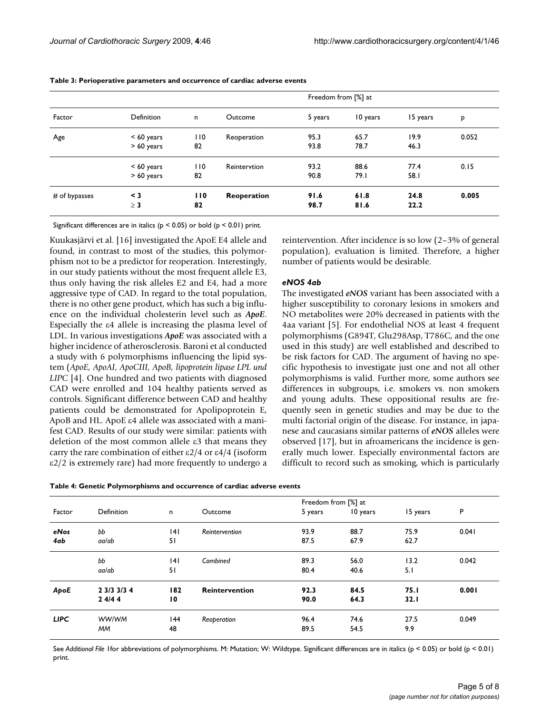|               |              |              |              | Freedom from [%] at |          |          |       |
|---------------|--------------|--------------|--------------|---------------------|----------|----------|-------|
| Factor        | Definition   | $\mathsf{n}$ | Outcome      | 5 years             | 10 years | 15 years | P     |
| Age           | $< 60$ years | 110          | Reoperation  | 95.3                | 65.7     | 19.9     | 0.052 |
|               | $> 60$ years | 82           |              | 93.8                | 78.7     | 46.3     |       |
|               | $< 60$ years | 110          | Reintervtion | 93.2                | 88.6     | 77.4     | 0.15  |
|               | $> 60$ years | 82           |              | 90.8                | 79.I     | 58.I     |       |
| # of bypasses | $<$ 3        | 110          | Reoperation  | 91.6                | 61.8     | 24.8     | 0.005 |
|               | $\geq 3$     | 82           |              | 98.7                | 81.6     | 22.2     |       |

| Table 3: Perioperative parameters and occurrence of cardiac adverse events |
|----------------------------------------------------------------------------|
|----------------------------------------------------------------------------|

Significant differences are in italics ( $p < 0.05$ ) or bold ( $p < 0.01$ ) print.

Kuukasjärvi et al. [16] investigated the ApoE E4 allele and found, in contrast to most of the studies, this polymorphism not to be a predictor for reoperation. Interestingly, in our study patients without the most frequent allele E3, thus only having the risk alleles E2 and E4, had a more aggressive type of CAD. In regard to the total population, there is no other gene product, which has such a big influence on the individual cholesterin level such as *ApoE*. Especially the ε4 allele is increasing the plasma level of LDL. In various investigations *ApoE* was associated with a higher incidence of atherosclerosis. Baroni et al conducted a study with 6 polymorphisms influencing the lipid system (*ApoE, ApoAI, ApoCIII, ApoB, lipoprotein lipase LPL und LIPC* [4]. One hundred and two patients with diagnosed CAD were enrolled and 104 healthy patients served as controls. Significant difference between CAD and healthy patients could be demonstrated for Apolipoprotein E, ApoB and HL. ApoE ε4 allele was associated with a manifest CAD. Results of our study were similar: patients with deletion of the most common allele ε3 that means they carry the rare combination of either ε2/4 or ε4/4 (isoform ε2/2 is extremely rare) had more frequently to undergo a reintervention. After incidence is so low (2–3% of general population), evaluation is limited. Therefore, a higher number of patients would be desirable.

#### *eNOS 4ab*

The investigated *eNOS* variant has been associated with a higher susceptibility to coronary lesions in smokers and NO metabolites were 20% decreased in patients with the 4aa variant [5]. For endothelial NOS at least 4 frequent polymorphisms (G894T, Glu298Asp, T786C, and the one used in this study) are well established and described to be risk factors for CAD. The argument of having no specific hypothesis to investigate just one and not all other polymorphisms is valid. Further more, some authors see differences in subgroups, i.e. smokers vs. non smokers and young adults. These oppositional results are frequently seen in genetic studies and may be due to the multi factorial origin of the disease. For instance, in japanese and caucasians similar patterns of *eNOS* alleles were observed [17], but in afroamericans the incidence is generally much lower. Especially environmental factors are difficult to record such as smoking, which is particularly

|  |  |  | Table 4: Genetic Polymorphisms and occurrence of cardiac adverse events |
|--|--|--|-------------------------------------------------------------------------|
|--|--|--|-------------------------------------------------------------------------|

|             |             |                 |                       | Freedom from [%] at |          |          |       |
|-------------|-------------|-----------------|-----------------------|---------------------|----------|----------|-------|
| Factor      | Definition  | n.              | Outcome               | 5 years             | 10 years | 15 years | P     |
| eNos        | bb          | 141             | Reintervention        | 93.9                | 88.7     | 75.9     | 0.041 |
| 4ab         | aa/ab       | 51              |                       | 87.5                | 67.9     | 62.7     |       |
|             | bb          | 4               | Combined              | 89.3                | 56.0     | 13.2     | 0.042 |
|             | aa/ab       | 51              |                       | 80.4                | 40.6     | 5.1      |       |
| ApoE        | 2 3/3 3/3 4 | 182             | <b>Reintervention</b> | 92.3                | 84.5     | 75.I     | 0.001 |
|             | 24/44       | $\overline{10}$ |                       | 90.0                | 64.3     | 32.1     |       |
| <b>LIPC</b> | WW/WM       | 144             | Reoperation           | 96.4                | 74.6     | 27.5     | 0.049 |
|             | МM          | 48              |                       | 89.5                | 54.5     | 9.9      |       |

See Additional File Ifor abbreviations of polymorphisms. M: Mutation; W: Wildtype. Significant differences are in italics (p < 0.05) or bold (p < 0.01) print.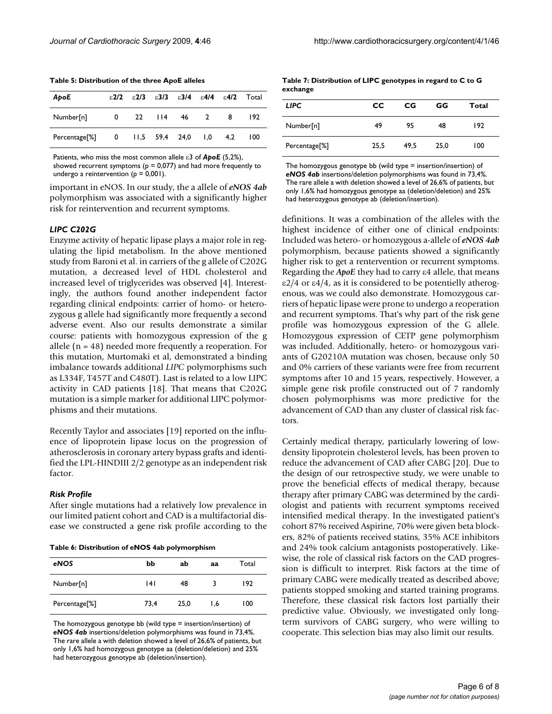**Table 5: Distribution of the three ApoE alleles**

| ApoE          | $\epsilon$ 2/2 | $\epsilon$ 2/3 |            | $\epsilon$ 3/3 $\epsilon$ 3/4 $\epsilon$ 4/4 |                | $\varepsilon$ 4/2 | Total |
|---------------|----------------|----------------|------------|----------------------------------------------|----------------|-------------------|-------|
| Number[n]     | 0              |                | $22 \t114$ | - 46                                         | $\overline{2}$ | 8                 | 192   |
| Percentage[%] |                |                |            | $0$ 11,5 59,4 24,0 1,0                       |                | 4.2               | 100   |

Patients, who miss the most common allele ε3 of *ApoE* (5,2%), showed recurrent symptoms ( $p = 0.077$ ) and had more frequently to undergo a reintervention ( $p = 0,001$ ).

important in eNOS. In our study, the a allele of *eNOS 4ab* polymorphism was associated with a significantly higher risk for reintervention and recurrent symptoms.

#### *LIPC C202G*

Enzyme activity of hepatic lipase plays a major role in regulating the lipid metabolism. In the above mentioned study from Baroni et al. in carriers of the g allele of C202G mutation, a decreased level of HDL cholesterol and increased level of triglycerides was observed [4]. Interestingly, the authors found another independent factor regarding clinical endpoints: carrier of homo- or heterozygous g allele had significantly more frequently a second adverse event. Also our results demonstrate a similar course: patients with homozygous expression of the g allele (n = 48) needed more frequently a reoperation. For this mutation, Murtomaki et al, demonstrated a binding imbalance towards additional *LIPC* polymorphisms such as L334F, T457T and C480T). Last is related to a low LIPC activity in CAD patients [18]. That means that C202G mutation is a simple marker for additional LIPC polymorphisms and their mutations.

Recently Taylor and associates [19] reported on the influence of lipoprotein lipase locus on the progression of atherosclerosis in coronary artery bypass grafts and identified the LPL-HINDIII 2/2 genotype as an independent risk factor.

#### *Risk Profile*

After single mutations had a relatively low prevalence in our limited patient cohort and CAD is a multifactorial disease we constructed a gene risk profile according to the

**Table 6: Distribution of eNOS 4ab polymorphism**

| eNOS                      | bЬ   | ab   | aa  | Total |
|---------------------------|------|------|-----|-------|
| Number[n]                 | 141  | 48   |     | 192   |
| Percentage <sup>[%]</sup> | 73.4 | 25.0 | 1.6 | 100   |

The homozygous genotype bb (wild type = insertion/insertion) of *eNOS 4ab* insertions/deletion polymorphisms was found in 73,4%. The rare allele a with deletion showed a level of 26,6% of patients, but only 1,6% had homozygous genotype aa (deletion/deletion) and 25% had heterozygous genotype ab (deletion/insertion).

**Table 7: Distribution of LIPC genotypes in regard to C to G exchange**

| LIPC                      | CC.  | CG   | GG   | Total |
|---------------------------|------|------|------|-------|
| Number[n]                 | 49   | 95   | 48   | 192   |
| Percentage <sup>[%]</sup> | 25.5 | 49.5 | 25.0 | 100   |

The homozygous genotype bb (wild type = insertion/insertion) of *eNOS 4ab* insertions/deletion polymorphisms was found in 73,4%. The rare allele a with deletion showed a level of 26,6% of patients, but only 1,6% had homozygous genotype aa (deletion/deletion) and 25% had heterozygous genotype ab (deletion/insertion).

definitions. It was a combination of the alleles with the highest incidence of either one of clinical endpoints: Included was hetero- or homozygous a-allele of *eNOS 4ab* polymorphism, because patients showed a significantly higher risk to get a rentervention or recurrent symptoms. Regarding the *ApoE* they had to carry ε4 allele, that means  $\epsilon$ 2/4 or  $\epsilon$ 4/4, as it is considered to be potentielly atherogenous, was we could also demonstrate. Homozygous carriers of hepatic lipase were prone to undergo a reoperation and recurrent symptoms. That's why part of the risk gene profile was homozygous expression of the G allele. Homozygous expression of CETP gene polymorphism was included. Additionally, hetero- or homozygous variants of G20210A mutation was chosen, because only 50 and 0% carriers of these variants were free from recurrent symptoms after 10 and 15 years, respectively. However, a simple gene risk profile constructed out of 7 randomly chosen polymorphisms was more predictive for the advancement of CAD than any cluster of classical risk factors.

Certainly medical therapy, particularly lowering of lowdensity lipoprotein cholesterol levels, has been proven to reduce the advancement of CAD after CABG [20]. Due to the design of our retrospective study, we were unable to prove the beneficial effects of medical therapy, because therapy after primary CABG was determined by the cardiologist and patients with recurrent symptoms received intensified medical therapy. In the investigated patient's cohort 87% received Aspirine, 70% were given beta blockers, 82% of patients received statins, 35% ACE inhibitors and 24% took calcium antagonists postoperatively. Likewise, the role of classical risk factors on the CAD progression is difficult to interpret. Risk factors at the time of primary CABG were medically treated as described above; patients stopped smoking and started training programs. Therefore, these classical risk factors lost partially their predictive value. Obviously, we investigated only longterm survivors of CABG surgery, who were willing to cooperate. This selection bias may also limit our results.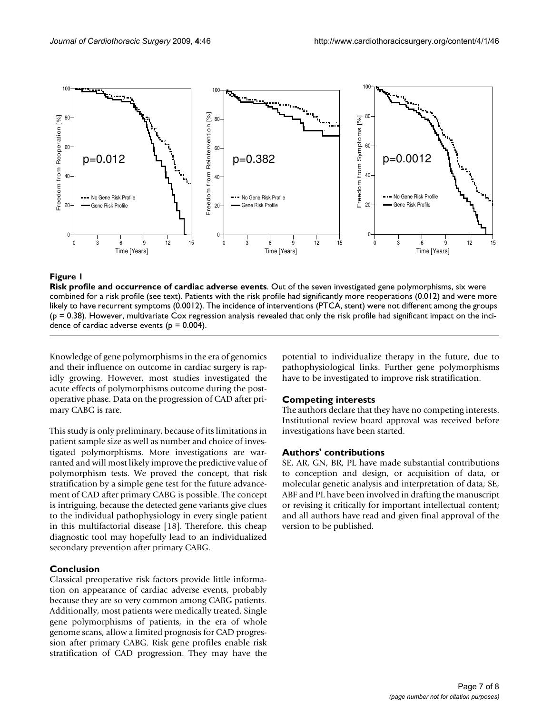

# **Figure 1**

**Risk profile and occurrence of cardiac adverse events**. Out of the seven investigated gene polymorphisms, six were combined for a risk profile (see text). Patients with the risk profile had significantly more reoperations (0.012) and were more likely to have recurrent symptoms (0.0012). The incidence of interventions (PTCA, stent) were not different among the groups  $(p = 0.38)$ . However, multivariate Cox regression analysis revealed that only the risk profile had significant impact on the incidence of cardiac adverse events ( $p = 0.004$ ).

Knowledge of gene polymorphisms in the era of genomics and their influence on outcome in cardiac surgery is rapidly growing. However, most studies investigated the acute effects of polymorphisms outcome during the postoperative phase. Data on the progression of CAD after primary CABG is rare.

This study is only preliminary, because of its limitations in patient sample size as well as number and choice of investigated polymorphisms. More investigations are warranted and will most likely improve the predictive value of polymorphism tests. We proved the concept, that risk stratification by a simple gene test for the future advancement of CAD after primary CABG is possible. The concept is intriguing, because the detected gene variants give clues to the individual pathophysiology in every single patient in this multifactorial disease [18]. Therefore, this cheap diagnostic tool may hopefully lead to an individualized secondary prevention after primary CABG.

# **Conclusion**

Classical preoperative risk factors provide little information on appearance of cardiac adverse events, probably because they are so very common among CABG patients. Additionally, most patients were medically treated. Single gene polymorphisms of patients, in the era of whole genome scans, allow a limited prognosis for CAD progression after primary CABG. Risk gene profiles enable risk stratification of CAD progression. They may have the potential to individualize therapy in the future, due to pathophysiological links. Further gene polymorphisms have to be investigated to improve risk stratification.

# **Competing interests**

The authors declare that they have no competing interests. Institutional review board approval was received before investigations have been started.

# **Authors' contributions**

SE, AR, GN, BR, PL have made substantial contributions to conception and design, or acquisition of data, or molecular genetic analysis and interpretation of data; SE, ABF and PL have been involved in drafting the manuscript or revising it critically for important intellectual content; and all authors have read and given final approval of the version to be published.